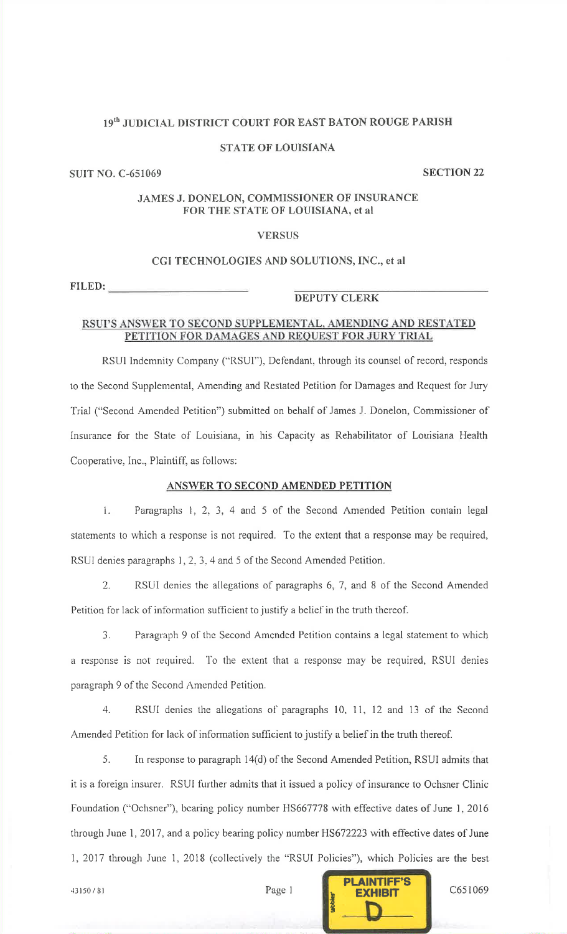## 19<sup>th</sup> JUDICIAL DISTRICT COURT FOR EAST BATON ROUGE PARISH

## **STATE OF LOUISIANA**

## **SUIT NO. C-651069**

**SECTION 22** 

## JAMES J. DONELON, COMMISSIONER OF INSURANCE FOR THE STATE OF LOUISIANA, et al

## **VERSUS**

## CGI TECHNOLOGIES AND SOLUTIONS, INC., et al.

FILED:

# **DEPUTY CLERK**

### RSUPS ANSWER TO SECOND SUPPLEMENTAL, AMENDING AND RESTATED PETITION FOR DAMAGES AND REQUEST FOR JURY TRIAL

RSUI Indemnity Company ("RSUI"), Defendant, through its counsel of record, responds to the Second Supplemental, Amending and Restated Petition for Damages and Request for Jury Trial ("Second Amended Petition") submitted on behalf of James J. Donelon, Commissioner of Insurance for the State of Louisiana, in his Capacity as Rehabilitator of Louisiana Health Cooperative, Inc., Plaintiff, as follows:

## ANSWER TO SECOND AMENDED PETITION

 $\mathbf{L}$ Paragraphs 1, 2, 3, 4 and 5 of the Second Amended Petition contain legal statements to which a response is not required. To the extent that a response may be required, RSUI denies paragraphs 1, 2, 3, 4 and 5 of the Second Amended Petition.

 $2.$ RSUI denies the allegations of paragraphs 6, 7, and 8 of the Second Amended Petition for lack of information sufficient to justify a belief in the truth thereof.

3. Paragraph 9 of the Second Amended Petition contains a legal statement to which a response is not required. To the extent that a response may be required, RSUI denies paragraph 9 of the Second Amended Petition.

4. RSUI denies the allegations of paragraphs 10, 11, 12 and 13 of the Second Amended Petition for lack of information sufficient to justify a belief in the truth thereof.

5. In response to paragraph 14(d) of the Second Amended Petition, RSUI admits that it is a foreign insurer. RSUI further admits that it issued a policy of insurance to Ochsner Clinic Foundation ("Ochsner"), bearing policy number HS667778 with effective dates of June 1, 2016 through June 1, 2017, and a policy bearing policy number HS672223 with effective dates of June 1, 2017 through June 1, 2018 (collectively the "RSUI Policies"), which Policies are the best

Page 1

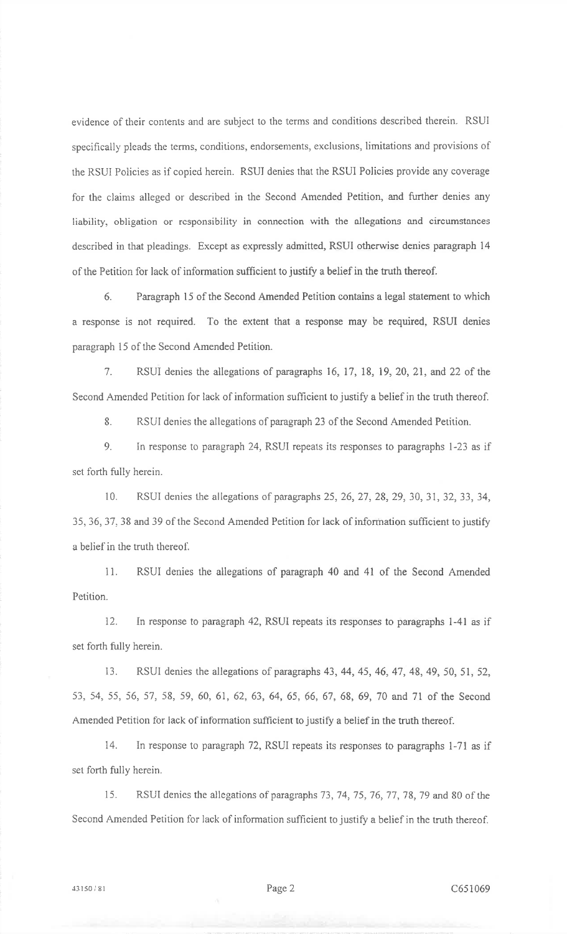evidence of their contents and are subject to the terms and conditions described therein. RSUIspecifically pleads the terms, conditions, endorsements, exclusions, limitations and provisions of the RSUI Policies as if copied herein. RSUI denies that the RSUI Policies provide any coveragefor the claims alleged or described in the Second Amended Petition, and further denies anyliability. obligation or responsibility in connection with the allegations and circumstancesde scribed in that pleadings. Except as expressly admitted, RSUI otherwise denies paragraph <sup>14</sup>of the Petition for lack of information sufficient to justify a belief in the truth thereof.

6. Paragraph i5 of the Second Amended Petition contains a legal statement to whicha response is not required. To the extent that a response may be required, RSUI denies paragraph 15 of the Second Amended Petition.

7. RSUI denies the allegations of paragraphs 16, I7, 18, 19, 20, 21, and 22 of theSecond Amended Petition for lack of information sufficient to justify a belief in the truth thereof.

8. RSUI denies the allegations of paragraph 23 of the Second Amended Petition.

9. In response to paragraph 24, RSUI repeats its responses to paragraphs l-23 as ifset forth fuily herein.

10. RSUI denies the allegations of paragraphs 25,26, 27,28,29, 3A, 31, 32, 33, 34,35,36,37,38 and 39 of the Second Amended Petition for lack of information sufficient to justifya belief in the truth thereof.

11. RSUI denies the aliegations of paragraph 40 and 41 of the Second AmendedPetition.

12. In response to paragraph 42, RSUI repeats its responses to paragraphs 1-41 as ifset forth fully herein.

13. RSUI denies the ailegations of paragraphs 43, 44, 45, 46, 47, 48,49, 50, 51, 52,53, 54, 55, 56, 57, 58, 59, 60, 61, 62, 63, 64, 65, 66, 67, 69, 69, 70 and 7l of the SecondAmended Petition for lack of information sufficient to justify a belief in the truth thereof.

14. In response to paragraph 72, RSUI repeats its responses to paragraphs 1-71 as ifset forth fully herein.

15. RSUI denies the allegations of paragraphs 73, 74, 75, 76, 77, 78, 79 and 80 of the Second Amended Petition for lack of information sufficient to justify a belief in the truth thereof.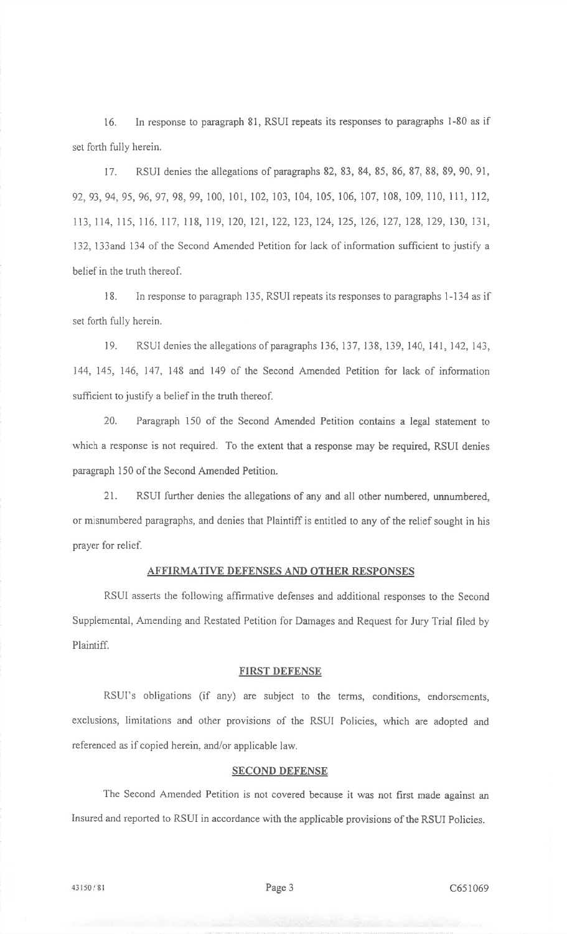i6. ln response to paragraph 81, RSUI repeats its responses to paragraphs l-80 as ifset forth fully herein.

17. RSUI denies the allegations of paragraphs 82,83,84,85, 86,87,88,89,90,91,92,93,94,95,96,97,98,99,100, i01,102,103,104,105,106,107,108,109,110,111,112,113, 114, 115, 116, 117, 118, 119, 120, 121, 122, 123, 124, 125, 126, 127, 128, 129, 130, 131, 132, 133and 134 of the Second Amended Petition for lack of information sufficient to justify a belief in the truth thereof.

<sup>I</sup>B. In response to paragraph 135, RSUI repeats its responses to paragraphs I -134 as il'set forth fully herein.

19. RSUI denies the allegations of paragraphs 136, 137, 138, 139, 140, 141, 142, 143, 144, 145, 146. 147,148 and 149 of the Second Amended Petition for lack of informationsufficient to justify a belief in the truth thereof.

20. Paragraph 150 of the Second Amended Petition contains a legal statement to which a response is not required. To the extent that a response may be required, RSUI deniesparagraph 150 of the Second Amended Petition.

21. RSUI further denies the allegations of any and all other numbered, unnumbered, or misnumbered paragraphs, and denies that Plaintiff is entitled to any of the relief sought in hisprayer for relief.

## AFFIRMATIVE DEFENSES AND OTHER RESPONSES

RSUI asserts the following affirmative defenses and additional responses to the SecondSupplemental, Amending and Restated Petition for Damages and Request for Jury Trial filed byPlaintiff.

#### FIRST DEFENSE

RSUI's obligations (if any) are subject to the terms, conditions, endorsements, exclusions, limitations and other provisions of the RSUI Policies, which are adopted andreferenced as if copied herein, and/or applicable law.

## **SECOND DEFENSE**

The Second Amended Petition is not covered because it was not first made against anInsured and reported to RSUI in accordance with the applicable provisions of the RSUI Policies.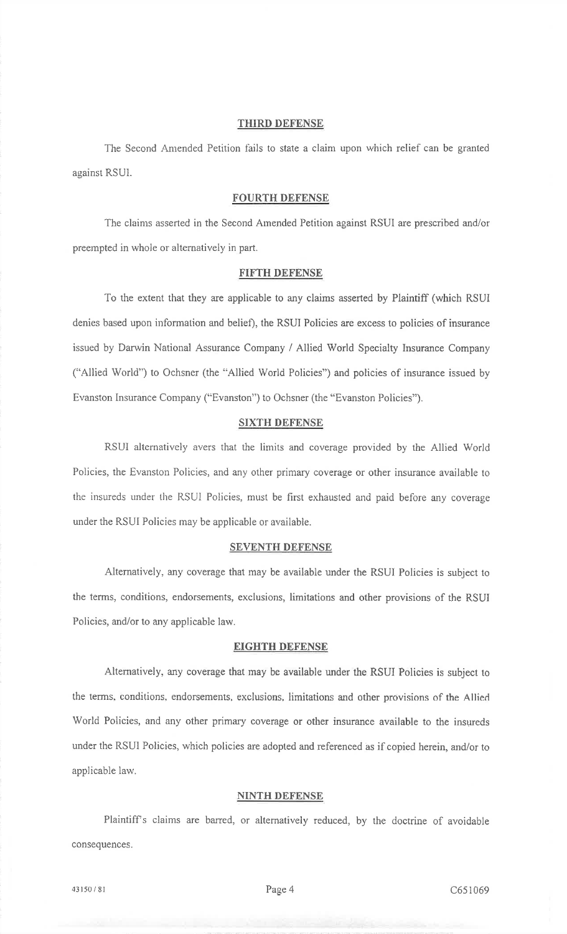## THIRD DEFENSE

The Second Amended Petition fails to state a claim upon which relief can be granted against RSUI.

### FOURTH DEFENSE

The claims asserted in the Second Arnended Petition against RSUI are prescribed and/orpreempted in whole or alternatively in part.

#### FIFTH DEFENSE

To the extent that they are applicable to any claims asserted by Plaintiff (which RSUIdenies based upon information and belief), the RSUI Policies are excess to policies of insurance issued by Darwin National Assurance Company / Allied World Specialty Insurance Company("Ailied World") to Ochsner (the "Allied World Policies") and policies of insurance issued byEvanston Insurance Company ("Evanston") to Ochsner (the "Evanston Policies").

#### SIXTH DEFENSE

RSUI alternatively avers that the limits and coverage provided by the Allied WorldPolicies, the Evanston Policies, and any other primary coverage or other insurance available tothe insureds under the RSUI Policies, must be first exhausted and paid before any coverage under the RSUI Policies may be applicable or available.

#### **SEVENTH DEFENSE**

Alternatively, any coverage that may be available under the RSUI Policies is subject tothe terms, conditions, endorsements, exclusions, limitations and other provisions of the RSUIPolicies, and/or to any applicable law.

#### EIGHTH DEFENSE

Altematively, any coverago that may be available under the RSUI Policies is subject tothe terms, conditions, endorsements, exclusions, Iimitations and other provisions of the AlliedWorld Policies, and any other primary coverage or other insurance available to the insureds under the RSUI Policies, which policies are adopted and referenced as if copied herein, and/or toapplicable law.

#### NINTH DEFENSE

Plaintiff's claims are barred, or alternatively reduced, by the doctrine of avoidable consequences.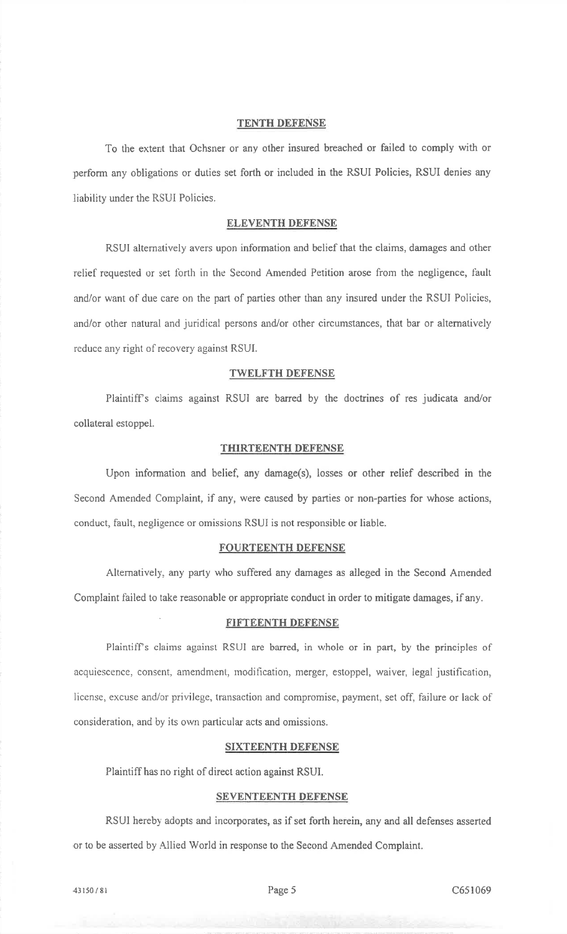#### TENTH DEFENSE

'fo the extent that Ochsner or any other insured breached or failed to comply with orperform any obiigations or duties set forth or included in the RSUI Policies, RSUI denies anyliability under the RSUI Policies.

## ELEVENTH DEFENSE

RSUI alternatively avers upon infbrmation and belief that the claims, damages and otherrelief requested or set forth in the Second Amended Petition arose from the negligence, fault and/or want of due care on the parl of parties other than any insured under the RSUI Policies,and/or other natural and juridical persons and/or other circumstances, that bar or altemativelyreduce any right of recovery against RSUL

## TWELFTH DEFENSE

Plaintiffs claims against RSUI are barred by the doctrines of res judicata and/orcollateral estoppel.

#### THIRTEENTH DEFENSE

Upon information and belief, any damage(s), losses or other relief described in theSecond Amended Complaint, if any, were caused by parties or non-parties for whose actions,conduct, fault, negligence or omissions RSUI is not responsible or liable.

#### FOURTEENTH DEFENSE

Altematively, any party who suffered any damages as alleged in the Second AmendedComplaint failed to take reasonable or appropriate conduct in order to mitigate damages, if any.

#### FIFTEENTH DEFENSE

Plaintiff's claims against RSUI are barred, in whole or in part, by the principles of acquiescence, consent, amendment, modification, merger, estoppel, waiver, legal justification, license, excuse and/or privilege, transaction and compromise, payment, set off, thilure or lack ofconsideration, and by its own particular acts and omissions.

#### **SIXTEENTH DEFENSE**

Plaintiff has no right of direct action against RSUI.

#### SEVENTEENTH DEFENSE

RSUI hereby adopts and incorporates, as if set forth herein, any and all defenses asserted or to be asserted by Allied World in response to the Second Amended Complaint.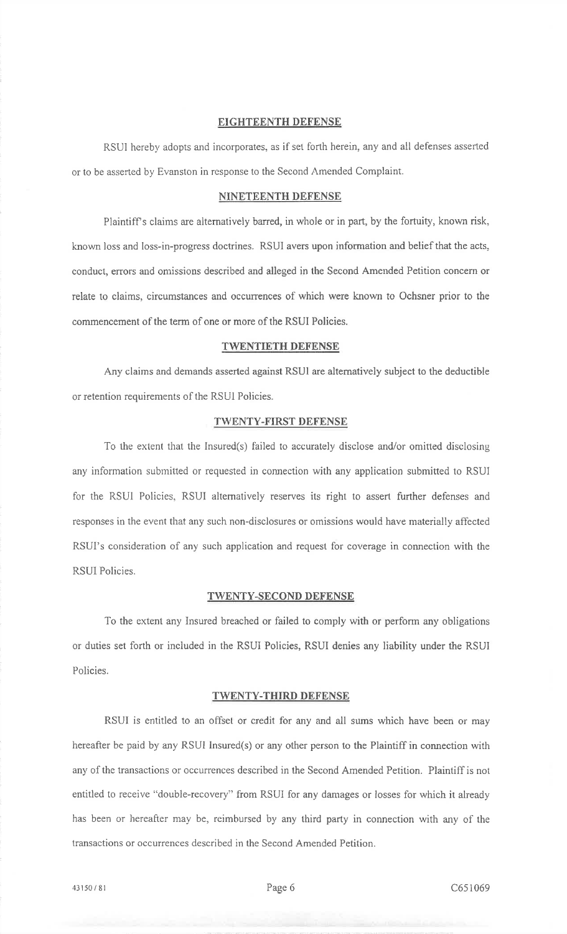#### EIGHTEENTH DEFENSE

RSUI hereby adopts and incorporates, as if set forth herein, any and all defenses asserted or to be asserted by Evanston in response to the Second Amended Complaint.

## NINETEENTH DEFENSB

Plaintiff's claims are alternatively barred, in whole or in part, by the fortuity, known risk, known loss and loss-in-progress doctrines. RSUI avers upon information and belief that the acts, conduct, errors and omissions described and alleged in the Second Amended Petition concem orrelate to claims, circumstances and occurrences of which were known to Ochsner prior to thecommencement of the term of one or more of the RSUI Policies.

### TWENTIETH DEFENSE

Any claims and demands asserted against RSUI are altematively subject to the deductibleor retention requirements of the RSUI Policies.

## TWENTY-FIRST DEFENSE

To the extent that the Insured(s) failed to accurately disclose and/or omitted disolosingany information submitted or requested in connection with any application submitted to RSUI for the RSUI Policies, RSUI alternatively reserves its right to assert further defenses and responses in the event that any such non-disclosures or omissions would have materially affected RSUI's consideration of any such application and request for coverage in connection with theRSUI Policies.

## TWENTY-SECOND DEFENSE

To the extent any Insured breached or failed to comply with or perform any obligationsor duties set forth or included in the RSUI Policies, RSUI denies any liability under the RSUIPolicies.

#### TWENTY-THIRD DEFENSE

RSUI is entitled to an offset or credit for any and all sums which have been or mayhereafter be paid by any RSUI Insured(s) or any other person to the Plaintiff in connection withany of the transactions or occurrences described in the Second Amended Petition. Plaintiff is notentitled to receive "double-recovery" fiom RSUI for any damages or losses for which it alreadyhas been or hereafter may be, reimbursed by any third party in connection with any of the transactions or occurrences described in the Second Amended Petition.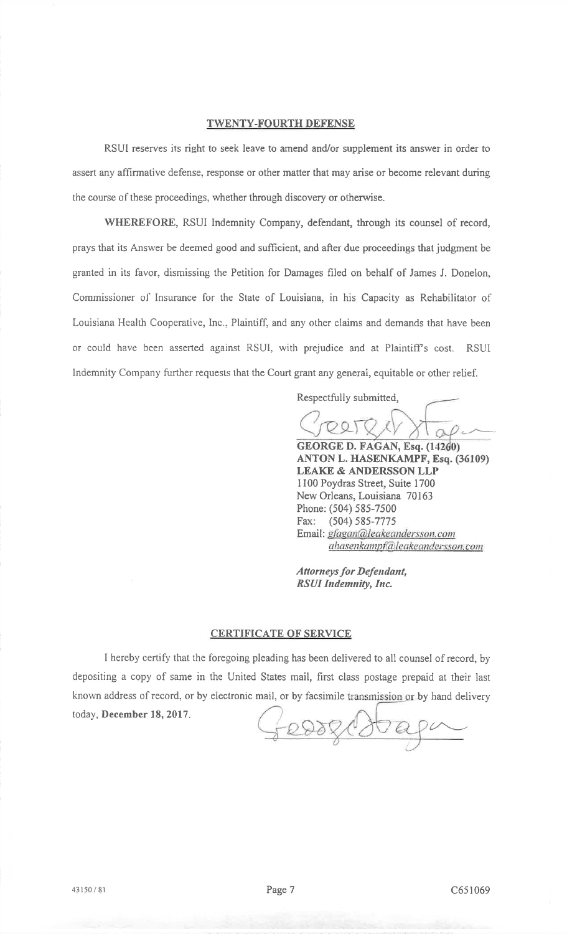## TWENTY-FOURTH DEFENSE

RSUI reserves its right to seek leave to amend and/or supplement its answer in order toassert any affirmative defense, response or other matter that may arise or become relevant duringthe course of these proceedings, whether through discovery or otherwise.

WHEREFORE, RSUI Indemnity Company, defendant, through its counsel of record, prays that its Answer be deemed good and sufficient, and after due proceedings that judgment begranted in its favor, dismissing the Petition for Damages filed on behalf of James J. Donelon,Commissioner of Insurance for the State of Louisiana, in his Capacity as Rehabilitator of Louisiana Health Cooperative, Inc., Plaintiff, and any other claims and demands that have been or could have been asserted against RSUI, with prejudice and at Plaintiff's cost. RSUI Indemnity Company further requests that the Court grant any general, equitable or other relief.

Respectfully submitted,

GEORGE D. FAGAN, Esq. (I

 ANTON L. HASENKAMPF, Esq. (36109)LEAKE & ANDERSSON LLP I 100 Poydras Street, Suite 1700 New Orleans, Louisiana 70163Phone: (504) 585-7500 Fax: (504) 585-7775Email: *gfagan@leakeandersson.com* ahasenkamp†@leakeandersson.com

Attorneys for Defendant, RSUI Indemnity, Inc.

## CERTIFICATE OF SERVICE

I hereby certify that the foregoing pleading has been delivered to all counsel of record, by depositing <sup>a</sup>copy of same in the United States mail, first class postage prepaid at their lastknown address of record, or by electronic mail, or by facsimile transm<u>ission o</u>r by hand delivery today, December I8, 2017.